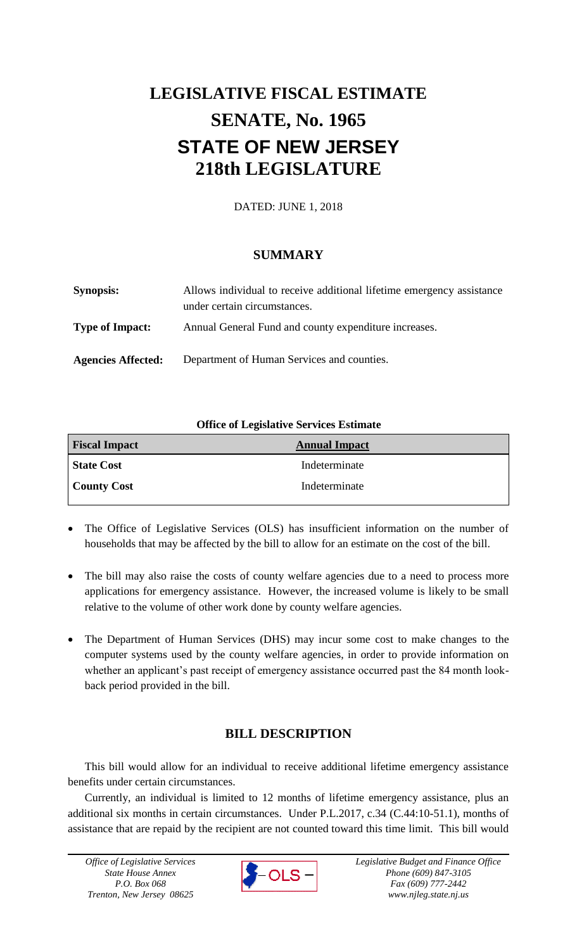# **LEGISLATIVE FISCAL ESTIMATE SENATE, No. 1965 STATE OF NEW JERSEY 218th LEGISLATURE**

DATED: JUNE 1, 2018

## **SUMMARY**

| <b>Synopsis:</b>          | Allows individual to receive additional lifetime emergency assistance<br>under certain circumstances. |
|---------------------------|-------------------------------------------------------------------------------------------------------|
| <b>Type of Impact:</b>    | Annual General Fund and county expenditure increases.                                                 |
| <b>Agencies Affected:</b> | Department of Human Services and counties.                                                            |

### **Office of Legislative Services Estimate**

| <b>Fiscal Impact</b> | <b>Annual Impact</b> |
|----------------------|----------------------|
| <b>State Cost</b>    | Indeterminate        |
| <b>County Cost</b>   | Indeterminate        |

- The Office of Legislative Services (OLS) has insufficient information on the number of households that may be affected by the bill to allow for an estimate on the cost of the bill.
- The bill may also raise the costs of county welfare agencies due to a need to process more applications for emergency assistance. However, the increased volume is likely to be small relative to the volume of other work done by county welfare agencies.
- The Department of Human Services (DHS) may incur some cost to make changes to the computer systems used by the county welfare agencies, in order to provide information on whether an applicant's past receipt of emergency assistance occurred past the 84 month lookback period provided in the bill.

## **BILL DESCRIPTION**

This bill would allow for an individual to receive additional lifetime emergency assistance benefits under certain circumstances.

Currently, an individual is limited to 12 months of lifetime emergency assistance, plus an additional six months in certain circumstances. Under P.L.2017, c.34 (C.44:10-51.1), months of assistance that are repaid by the recipient are not counted toward this time limit. This bill would